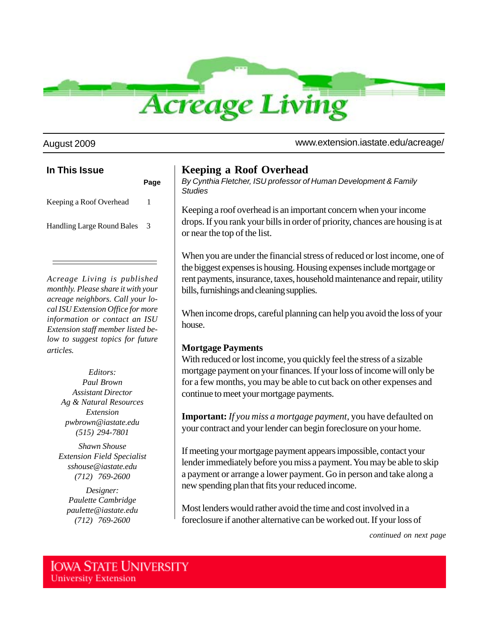

August 2009 www.extension.iastate.edu/acreage/

# *Acreage Living is published* **In This Issue Page** Keeping a Roof Overhead 1 Handling Large Round Bales 3

*monthly. Please share it with your acreage neighbors. Call your local ISU Extension Office for more information or contact an ISU Extension staff member listed below to suggest topics for future articles.*

> *Editors: Paul Brown Assistant Director Ag & Natural Resources Extension pwbrown@iastate.edu (515) 294-7801*

*Shawn Shouse Extension Field Specialist sshouse@iastate.edu (712) 769-2600*

*Designer: Paulette Cambridge paulette@iastate.edu (712) 769-2600*

## **Keeping a Roof Overhead**

*By Cynthia Fletcher, ISU professor of Human Development & Family Studies*

Keeping a roof overhead is an important concern when your income drops. If you rank your bills in order of priority, chances are housing is at or near the top of the list.

When you are under the financial stress of reduced or lost income, one of the biggest expenses is housing. Housing expenses include mortgage or rent payments, insurance, taxes, household maintenance and repair, utility bills, furnishings and cleaning supplies.

When income drops, careful planning can help you avoid the loss of your house.

#### **Mortgage Payments**

With reduced or lost income, you quickly feel the stress of a sizable mortgage payment on your finances. If your loss of income will only be for a few months, you may be able to cut back on other expenses and continue to meet your mortgage payments.

**Important:** *If you miss a mortgage payment*, you have defaulted on your contract and your lender can begin foreclosure on your home.

If meeting your mortgage payment appears impossible, contact your lender immediately before you miss a payment. You may be able to skip a payment or arrange a lower payment. Go in person and take along a new spending plan that fits your reduced income.

Most lenders would rather avoid the time and cost involved in a foreclosure if another alternative can be worked out. If your loss of

*continued on next page*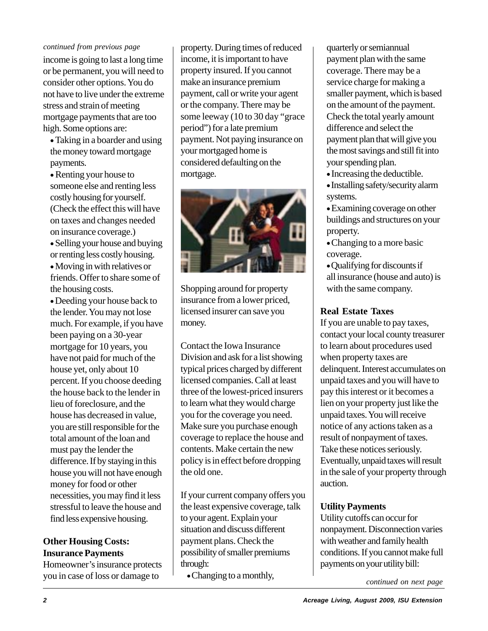#### *continued from previous page*

income is going to last a long time or be permanent, you will need to consider other options. You do not have to live under the extreme stress and strain of meeting mortgage payments that are too high. Some options are:

 Taking in a boarder and using the money toward mortgage payments.

 Renting your house to someone else and renting less costly housing for yourself. (Check the effect this will have on taxes and changes needed on insurance coverage.)

 Selling your house and buying or renting less costly housing.

 Moving in with relatives or friends. Offer to share some of the housing costs.

Deeding your house back to the lender. You may not lose much. For example, if you have been paying on a 30-year mortgage for 10 years, you have not paid for much of the house yet, only about 10 percent. If you choose deeding the house back to the lender in lieu of foreclosure, and the house has decreased in value, you are still responsible for the total amount of the loan and must pay the lender the difference. If by staying in this house you will not have enough money for food or other necessities, you may find it less stressful to leave the house and find less expensive housing.

#### **Other Housing Costs: Insurance Payments**

Homeowner's insurance protects you in case of loss or damage to

property. During times of reduced income, it is important to have property insured. If you cannot make an insurance premium payment, call or write your agent or the company. There may be some leeway (10 to 30 day "grace period") for a late premium payment. Not paying insurance on your mortgaged home is considered defaulting on the mortgage.



Shopping around for property insurance from a lower priced, licensed insurer can save you money.

Contact the Iowa Insurance Division and ask for a list showing typical prices charged by different licensed companies. Call at least three of the lowest-priced insurers to learn what they would charge you for the coverage you need. Make sure you purchase enough coverage to replace the house and contents. Make certain the new policy is in effect before dropping the old one.

If your current company offers you the least expensive coverage, talk to your agent. Explain your situation and discuss different payment plans. Check the possibility of smaller premiums through:

Changing to a monthly,

quarterly or semiannual payment plan with the same coverage. There may be a service charge for making a smaller payment, which is based on the amount of the payment. Check the total yearly amount difference and select the payment plan that will give you the most savings and still fit into your spending plan.

- Increasing the deductible.
- Installing safety/security alarm systems.
- Examining coverage on other buildings and structures on your property.
- Changing to a more basic coverage.
- Qualifying for discounts if all insurance (house and auto) is with the same company.

### **Real Estate Taxes**

If you are unable to pay taxes, contact your local county treasurer to learn about procedures used when property taxes are delinquent. Interest accumulates on unpaid taxes and you will have to pay this interest or it becomes a lien on your property just like the unpaid taxes. You will receive notice of any actions taken as a result of nonpayment of taxes. Take these notices seriously. Eventually, unpaid taxes will result in the sale of your property through auction.

#### **Utility Payments**

Utility cutoffs can occur for nonpayment. Disconnection varies with weather and family health conditions. If you cannot make full payments on your utility bill:

*continued on next page*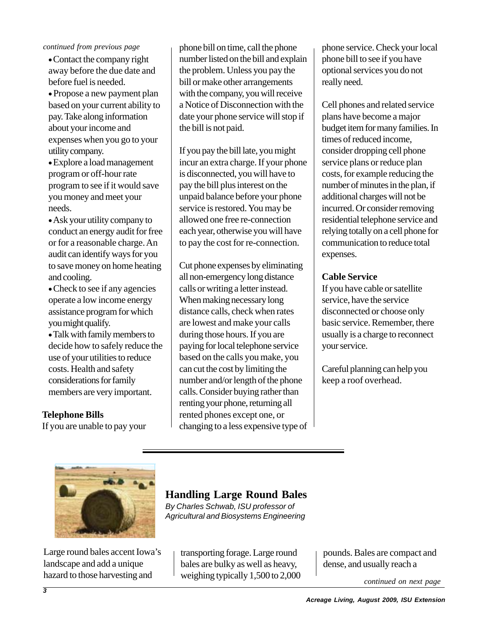#### *continued from previous page*

Contact the company right away before the due date and before fuel is needed.

Propose a new payment plan based on your current ability to pay. Take along information about your income and expenses when you go to your utility company.

Explore a load management program or off-hour rate program to see if it would save you money and meet your needs.

Ask your utility company to conduct an energy audit for free or for a reasonable charge. An audit can identify ways for you to save money on home heating and cooling.

• Check to see if any agencies operate a low income energy assistance program for which you might qualify.

Talk with family members to decide how to safely reduce the use of your utilities to reduce costs. Health and safety considerations for family members are very important.

## **Telephone Bills**

If you are unable to pay your

phone bill on time, call the phone number listed on the bill and explain the problem. Unless you pay the bill or make other arrangements with the company, you will receive a Notice of Disconnection with the date your phone service will stop if the bill is not paid.

If you pay the bill late, you might incur an extra charge. If your phone is disconnected, you will have to pay the bill plus interest on the unpaid balance before your phone service is restored. You may be allowed one free re-connection each year, otherwise you will have to pay the cost for re-connection.

Cut phone expenses by eliminating all non-emergency long distance calls or writing a letter instead. When making necessary long distance calls, check when rates are lowest and make your calls during those hours. If you are paying for local telephone service based on the calls you make, you can cut the cost by limiting the number and/or length of the phone calls. Consider buying rather than renting your phone, returning all rented phones except one, or changing to a less expensive type of phone service. Check your local phone bill to see if you have optional services you do not really need.

Cell phones and related service plans have become a major budget item for many families. In times of reduced income, consider dropping cell phone service plans or reduce plan costs, for example reducing the number of minutes in the plan, if additional charges will not be incurred. Or consider removing residential telephone service and relying totally on a cell phone for communication to reduce total expenses.

#### **Cable Service**

If you have cable or satellite service, have the service disconnected or choose only basic service. Remember, there usually is a charge to reconnect your service.

Careful planning can help you keep a roof overhead.



Large round bales accent Iowa's landscape and add a unique hazard to those harvesting and

# **Handling Large Round Bales**

*By Charles Schwab, ISU professor of Agricultural and Biosystems Engineering*

transporting forage. Large round bales are bulky as well as heavy, weighing typically 1,500 to 2,000

pounds. Bales are compact and dense, and usually reach a

*continued on next page*